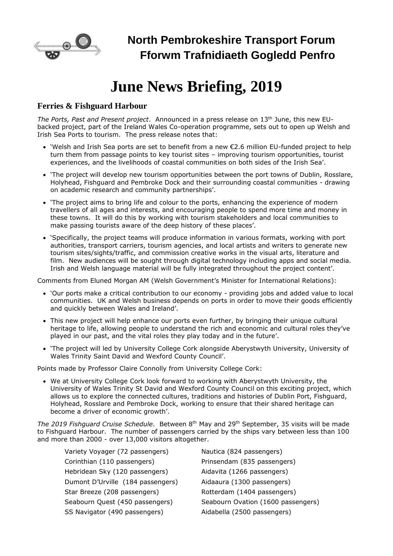

# **June News Briefing, 2019**

### **Ferries & Fishguard Harbour**

*The Ports, Past and Present project*. Announced in a press release on 13th June, this new EUbacked project, part of the Ireland Wales Co-operation programme, sets out to open up Welsh and Irish Sea Ports to tourism. The press release notes that:

- 'Welsh and Irish Sea ports are set to benefit from a new €2.6 million EU-funded project to help turn them from passage points to key tourist sites – improving tourism opportunities, tourist experiences, and the livelihoods of coastal communities on both sides of the Irish Sea'.
- 'The project will develop new tourism opportunities between the port towns of Dublin, Rosslare, Holyhead, Fishguard and Pembroke Dock and their surrounding coastal communities - drawing on academic research and community partnerships'.
- 'The project aims to bring life and colour to the ports, enhancing the experience of modern travellers of all ages and interests, and encouraging people to spend more time and money in these towns. It will do this by working with tourism stakeholders and local communities to make passing tourists aware of the deep history of these places'.
- 'Specifically, the project teams will produce information in various formats, working with port authorities, transport carriers, tourism agencies, and local artists and writers to generate new tourism sites/sights/traffic, and commission creative works in the visual arts, literature and film. New audiences will be sought through digital technology including apps and social media. Irish and Welsh language material will be fully integrated throughout the project content'.

Comments from Eluned Morgan AM (Welsh Government's Minister for International Relations):

- 'Our ports make a critical contribution to our economy providing jobs and added value to local communities. UK and Welsh business depends on ports in order to move their goods efficiently and quickly between Wales and Ireland'.
- This new project will help enhance our ports even further, by bringing their unique cultural heritage to life, allowing people to understand the rich and economic and cultural roles they've played in our past, and the vital roles they play today and in the future'.
- 'The project will led by University College Cork alongside Aberystwyth University, University of Wales Trinity Saint David and Wexford County Council'.

Points made by Professor Claire Connolly from University College Cork:

• We at University College Cork look forward to working with Aberystwyth University, the University of Wales Trinity St David and Wexford County Council on this exciting project, which allows us to explore the connected cultures, traditions and histories of Dublin Port, Fishguard, Holyhead, Rosslare and Pembroke Dock, working to ensure that their shared heritage can become a driver of economic growth'.

*The 2019 Fishguard Cruise Schedule*. Between 8th May and 29th September, 35 visits will be made to Fishguard Harbour. The number of passengers carried by the ships vary between less than 100 and more than 2000 - over 13,000 visitors altogether.

| Variety Voyager (72 passengers)   | Nautica (824 passengers)           |
|-----------------------------------|------------------------------------|
| Corinthian (110 passengers)       | Prinsendam (835 passengers)        |
| Hebridean Sky (120 passengers)    | Aidavita (1266 passengers)         |
| Dumont D'Urville (184 passengers) | Aidaaura (1300 passengers)         |
| Star Breeze (208 passengers)      | Rotterdam (1404 passengers)        |
| Seabourn Quest (450 passengers)   | Seabourn Ovation (1600 passengers) |
| SS Navigator (490 passengers)     | Aidabella (2500 passengers)        |